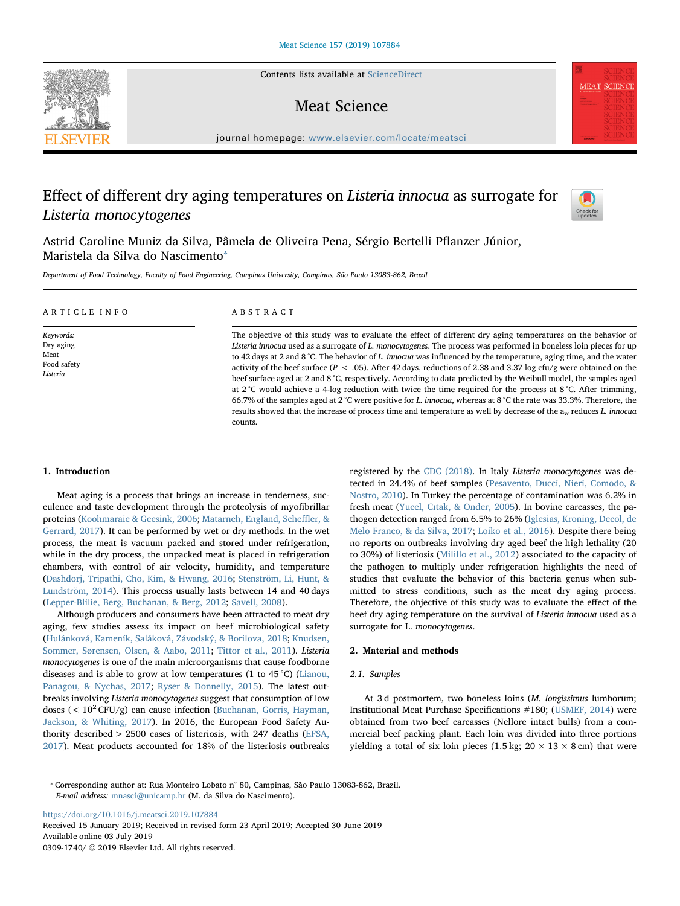Contents lists available at [ScienceDirect](http://www.sciencedirect.com/science/journal/03091740)

# Meat Science

journal homepage: [www.elsevier.com/locate/meatsci](https://www.elsevier.com/locate/meatsci)

# Effect of different dry aging temperatures on Listeria innocua as surrogate for Listeria monocytogenes



**MEAT SCIENCE** 

Astrid Caroline Muniz da Silva, Pâmela de Oliveira Pena, Sérgio Bertelli Pflanzer Júnior, Maristela da Silva do Nascimento<sup>®</sup>

Department of Food Technology, Faculty of Food Engineering, Campinas University, Campinas, São Paulo 13083-862, Brazil

| ARTICLE INFO                                              | ABSTRACT                                                                                                                                                                                                                                                                                                                                                                                                                                                                                                                                                                                                                                                                                                                                                                                                                                                                                                                                                                                           |  |  |  |  |
|-----------------------------------------------------------|----------------------------------------------------------------------------------------------------------------------------------------------------------------------------------------------------------------------------------------------------------------------------------------------------------------------------------------------------------------------------------------------------------------------------------------------------------------------------------------------------------------------------------------------------------------------------------------------------------------------------------------------------------------------------------------------------------------------------------------------------------------------------------------------------------------------------------------------------------------------------------------------------------------------------------------------------------------------------------------------------|--|--|--|--|
| Keywords:<br>Dry aging<br>Meat<br>Food safety<br>Listeria | The objective of this study was to evaluate the effect of different dry aging temperatures on the behavior of<br>Listeria innocua used as a surrogate of L. monocytogenes. The process was performed in boneless loin pieces for up<br>to 42 days at 2 and 8 °C. The behavior of L, innocua was influenced by the temperature, aging time, and the water<br>activity of the beef surface ( $P < .05$ ). After 42 days, reductions of 2.38 and 3.37 log cfu/g were obtained on the<br>beef surface aged at 2 and 8 °C, respectively. According to data predicted by the Weibull model, the samples aged<br>at $2^{\circ}$ C would achieve a 4-log reduction with twice the time required for the process at 8 °C. After trimming,<br>66.7% of the samples aged at 2 °C were positive for L. innocua, whereas at 8 °C the rate was 33.3%. Therefore, the<br>results showed that the increase of process time and temperature as well by decrease of the a <sub>w</sub> reduces L. innocua<br>counts. |  |  |  |  |

## 1. Introduction

Meat aging is a process that brings an increase in tenderness, succulence and taste development through the proteolysis of myofibrillar proteins [\(Koohmaraie & Geesink, 2006;](#page-3-0) [Matarneh, England, Sche](#page-4-0)ffler, & [Gerrard, 2017\)](#page-4-0). It can be performed by wet or dry methods. In the wet process, the meat is vacuum packed and stored under refrigeration, while in the dry process, the unpacked meat is placed in refrigeration chambers, with control of air velocity, humidity, and temperature ([Dashdorj, Tripathi, Cho, Kim, & Hwang, 2016](#page-3-1); [Stenström, Li, Hunt, &](#page-4-1) [Lundström, 2014\)](#page-4-1). This process usually lasts between 14 and 40 days ([Lepper-Blilie, Berg, Buchanan, & Berg, 2012](#page-4-2); [Savell, 2008\)](#page-4-3).

Although producers and consumers have been attracted to meat dry aging, few studies assess its impact on beef microbiological safety ([Hulánková, Kameník, Saláková, Závodský, & Borilova, 2018;](#page-3-2) [Knudsen,](#page-3-3) [Sommer, Sørensen, Olsen, & Aabo, 2011](#page-3-3); [Tittor et al., 2011\)](#page-4-4). Listeria monocytogenes is one of the main microorganisms that cause foodborne diseases and is able to grow at low temperatures (1 to 45 °C) [\(Lianou,](#page-4-5) [Panagou, & Nychas, 2017](#page-4-5); [Ryser & Donnelly, 2015](#page-4-6)). The latest outbreaks involving Listeria monocytogenes suggest that consumption of low doses ( $< 10<sup>2</sup> CFU/g$ ) can cause infection ([Buchanan, Gorris, Hayman,](#page-3-4) [Jackson, & Whiting, 2017](#page-3-4)). In 2016, the European Food Safety Authority described > 2500 cases of listeriosis, with 247 deaths ([EFSA,](#page-3-5) [2017\)](#page-3-5). Meat products accounted for 18% of the listeriosis outbreaks registered by the [CDC \(2018\).](#page-3-6) In Italy Listeria monocytogenes was detected in 24.4% of beef samples ([Pesavento, Ducci, Nieri, Comodo, &](#page-4-7) [Nostro, 2010\)](#page-4-7). In Turkey the percentage of contamination was 6.2% in fresh meat (Yucel, Cı[tak, & Onder, 2005](#page-4-8)). In bovine carcasses, the pathogen detection ranged from 6.5% to 26% ([Iglesias, Kroning, Decol, de](#page-3-7) [Melo Franco, & da Silva, 2017](#page-3-7); [Loiko et al., 2016](#page-4-9)). Despite there being no reports on outbreaks involving dry aged beef the high lethality (20 to 30%) of listeriosis ([Milillo et al., 2012\)](#page-4-10) associated to the capacity of the pathogen to multiply under refrigeration highlights the need of studies that evaluate the behavior of this bacteria genus when submitted to stress conditions, such as the meat dry aging process. Therefore, the objective of this study was to evaluate the effect of the beef dry aging temperature on the survival of Listeria innocua used as a surrogate for L. monocytogenes.

## 2. Material and methods

## 2.1. Samples

At 3 d postmortem, two boneless loins (M. longissimus lumborum; Institutional Meat Purchase Specifications #180; [\(USMEF, 2014\)](#page-3-8) were obtained from two beef carcasses (Nellore intact bulls) from a commercial beef packing plant. Each loin was divided into three portions yielding a total of six loin pieces (1.5 kg;  $20 \times 13 \times 8$  cm) that were

<span id="page-0-0"></span>⁎ Corresponding author at: Rua Monteiro Lobato n° 80, Campinas, São Paulo 13083-862, Brazil. E-mail address: [mnasci@unicamp.br](mailto:mnasci@unicamp.br) (M. da Silva do Nascimento).

<https://doi.org/10.1016/j.meatsci.2019.107884> Received 15 January 2019; Received in revised form 23 April 2019; Accepted 30 June 2019 Available online 03 July 2019 0309-1740/ © 2019 Elsevier Ltd. All rights reserved.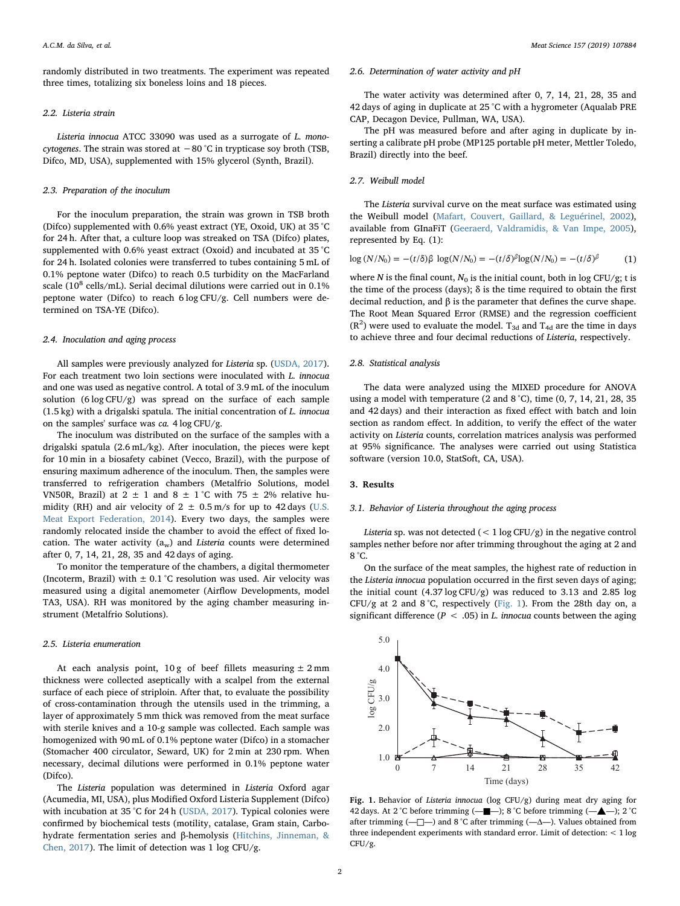randomly distributed in two treatments. The experiment was repeated three times, totalizing six boneless loins and 18 pieces.

## 2.2. Listeria strain

Listeria innocua ATCC 33090 was used as a surrogate of L. monocytogenes. The strain was stored at −80 °C in trypticase soy broth (TSB, Difco, MD, USA), supplemented with 15% glycerol (Synth, Brazil).

### 2.3. Preparation of the inoculum

For the inoculum preparation, the strain was grown in TSB broth (Difco) supplemented with 0.6% yeast extract (YE, Oxoid, UK) at 35 °C for 24 h. After that, a culture loop was streaked on TSA (Difco) plates, supplemented with 0.6% yeast extract (Oxoid) and incubated at 35 °C for 24 h. Isolated colonies were transferred to tubes containing 5 mL of 0.1% peptone water (Difco) to reach 0.5 turbidity on the MacFarland scale ( $10^8$  cells/mL). Serial decimal dilutions were carried out in 0.1% peptone water (Difco) to reach 6 log CFU/g. Cell numbers were determined on TSA-YE (Difco).

#### 2.4. Inoculation and aging process

All samples were previously analyzed for Listeria sp. [\(USDA, 2017](#page-4-11)). For each treatment two loin sections were inoculated with L. innocua and one was used as negative control. A total of 3.9 mL of the inoculum solution (6 log CFU/g) was spread on the surface of each sample (1.5 kg) with a drigalski spatula. The initial concentration of L. innocua on the samples' surface was ca. 4 log CFU/g.

The inoculum was distributed on the surface of the samples with a drigalski spatula (2.6 mL/kg). After inoculation, the pieces were kept for 10 min in a biosafety cabinet (Vecco, Brazil), with the purpose of ensuring maximum adherence of the inoculum. Then, the samples were transferred to refrigeration chambers (Metalfrio Solutions, model VN50R, Brazil) at  $2 \pm 1$  and  $8 \pm 1$ °C with 75  $\pm$  2% relative humidity (RH) and air velocity of  $2 \pm 0.5$  m/s for up to 42 days [\(U.S.](#page-3-8) [Meat Export Federation, 2014\)](#page-3-8). Every two days, the samples were randomly relocated inside the chamber to avoid the effect of fixed location. The water activity  $(a_w)$  and Listeria counts were determined after 0, 7, 14, 21, 28, 35 and 42 days of aging.

To monitor the temperature of the chambers, a digital thermometer (Incoterm, Brazil) with  $\pm$  0.1 °C resolution was used. Air velocity was measured using a digital anemometer (Airflow Developments, model TA3, USA). RH was monitored by the aging chamber measuring instrument (Metalfrio Solutions).

#### 2.5. Listeria enumeration

At each analysis point,  $10 g$  of beef fillets measuring  $\pm 2 mm$ thickness were collected aseptically with a scalpel from the external surface of each piece of striploin. After that, to evaluate the possibility of cross-contamination through the utensils used in the trimming, a layer of approximately 5 mm thick was removed from the meat surface with sterile knives and a 10-g sample was collected. Each sample was homogenized with 90 mL of 0.1% peptone water (Difco) in a stomacher (Stomacher 400 circulator, Seward, UK) for 2 min at 230 rpm. When necessary, decimal dilutions were performed in 0.1% peptone water (Difco).

The Listeria population was determined in Listeria Oxford agar (Acumedia, MI, USA), plus Modified Oxford Listeria Supplement (Difco) with incubation at 35 °C for 24 h [\(USDA, 2017\)](#page-3-5). Typical colonies were confirmed by biochemical tests (motility, catalase, Gram stain, Carbohydrate fermentation series and β-hemolysis [\(Hitchins, Jinneman, &](#page-3-9) [Chen, 2017](#page-3-9)). The limit of detection was 1 log CFU/g.

#### 2.6. Determination of water activity and pH

The water activity was determined after 0, 7, 14, 21, 28, 35 and 42 days of aging in duplicate at 25 °C with a hygrometer (Aqualab PRE CAP, Decagon Device, Pullman, WA, USA).

The pH was measured before and after aging in duplicate by inserting a calibrate pH probe (MP125 portable pH meter, Mettler Toledo, Brazil) directly into the beef.

## 2.7. Weibull model

The Listeria survival curve on the meat surface was estimated using the Weibull model ([Mafart, Couvert, Gaillard, & Leguérinel, 2002](#page-4-12)), available from GInaFiT ([Geeraerd, Valdramidis, & Van Impe, 2005](#page-3-10)), represented by Eq. (1):

$$
\log (N/N_0) = -(t/\delta)\beta \log(N/N_0) = -(t/\delta)^{\beta} \log(N/N_0) = -(t/\delta)^{\beta} \tag{1}
$$

where N is the final count,  $N_0$  is the initial count, both in log CFU/g; t is the time of the process (days);  $\delta$  is the time required to obtain the first decimal reduction, and β is the parameter that defines the curve shape. The Root Mean Squared Error (RMSE) and the regression coefficient  $(R<sup>2</sup>)$  were used to evaluate the model. T<sub>3d</sub> and T<sub>4d</sub> are the time in days to achieve three and four decimal reductions of Listeria, respectively.

#### 2.8. Statistical analysis

The data were analyzed using the MIXED procedure for ANOVA using a model with temperature (2 and 8 °C), time (0, 7, 14, 21, 28, 35 and 42 days) and their interaction as fixed effect with batch and loin section as random effect. In addition, to verify the effect of the water activity on Listeria counts, correlation matrices analysis was performed at 95% significance. The analyses were carried out using Statistica software (version 10.0, StatSoft, CA, USA).

#### 3. Results

#### 3.1. Behavior of Listeria throughout the aging process

Listeria sp. was not detected  $(< 1 \log CFU/g)$  in the negative control samples nether before nor after trimming throughout the aging at 2 and 8 °C.

On the surface of the meat samples, the highest rate of reduction in the Listeria innocua population occurred in the first seven days of aging; the initial count (4.37 log CFU/g) was reduced to 3.13 and 2.85 log CFU/g at 2 and 8 °C, respectively [\(Fig. 1](#page-1-0)). From the 28th day on, a significant difference ( $P < .05$ ) in L. innocua counts between the aging

<span id="page-1-0"></span>

Fig. 1. Behavior of Listeria innocua (log CFU/g) during meat dry aging for 42 days. At 2 °C before trimming (—■—); 8 °C before trimming (—▲—); 2 °C after trimming (-□-) and 8 °C after trimming (-△-). Values obtained from three independent experiments with standard error. Limit of detection: < 1 log CFU/g.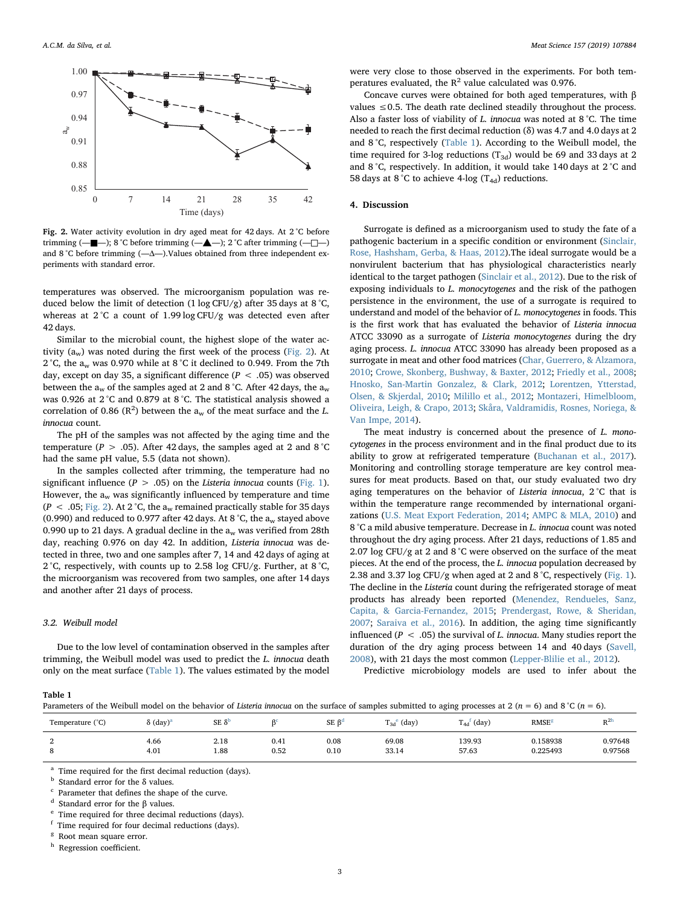<span id="page-2-0"></span>

Fig. 2. Water activity evolution in dry aged meat for 42 days. At 2 °C before trimming (—■—); 8 °C before trimming (—▲—); 2 °C after trimming (—□—) and 8 °C before trimming  $(-\Delta)$ . Values obtained from three independent experiments with standard error.

temperatures was observed. The microorganism population was reduced below the limit of detection  $(1 \log CFU/g)$  after 35 days at 8 °C, whereas at 2°C a count of 1.99 log CFU/g was detected even after 42 days.

Similar to the microbial count, the highest slope of the water activity  $(a_w)$  was noted during the first week of the process ([Fig. 2](#page-2-0)). At 2 °C, the  $a_w$  was 0.970 while at 8 °C it declined to 0.949. From the 7th day, except on day 35, a significant difference ( $P < .05$ ) was observed between the  $a_w$  of the samples aged at 2 and 8 °C. After 42 days, the  $a_w$ was 0.926 at 2 °C and 0.879 at 8 °C. The statistical analysis showed a correlation of 0.86 ( $\mathbb{R}^2$ ) between the  $a_w$  of the meat surface and the L. innocua count.

The pH of the samples was not affected by the aging time and the temperature ( $P > .05$ ). After 42 days, the samples aged at 2 and 8 °C had the same pH value, 5.5 (data not shown).

In the samples collected after trimming, the temperature had no significant influence ( $P > .05$ ) on the Listeria innocua counts ([Fig. 1](#page-1-0)). However, the  $a_w$  was significantly influenced by temperature and time ( $P < .05$ ; [Fig. 2](#page-2-0)). At 2 °C, the a<sub>w</sub> remained practically stable for 35 days (0.990) and reduced to 0.977 after 42 days. At 8 °C, the  $a_w$  stayed above 0.990 up to 21 days. A gradual decline in the  $a_w$  was verified from 28th day, reaching 0.976 on day 42. In addition, Listeria innocua was detected in three, two and one samples after 7, 14 and 42 days of aging at 2 °C, respectively, with counts up to 2.58 log CFU/g. Further, at 8 °C, the microorganism was recovered from two samples, one after 14 days and another after 21 days of process.

# 3.2. Weibull model

Due to the low level of contamination observed in the samples after trimming, the Weibull model was used to predict the L. innocua death only on the meat surface ([Table 1](#page-2-1)). The values estimated by the model

were very close to those observed in the experiments. For both temperatures evaluated, the  $R^2$  value calculated was 0.976.

Concave curves were obtained for both aged temperatures, with β values  $\leq$  0.5. The death rate declined steadily throughout the process. Also a faster loss of viability of L. innocua was noted at 8 °C. The time needed to reach the first decimal reduction (δ) was 4.7 and 4.0 days at 2 and 8 °C, respectively ([Table 1](#page-2-1)). According to the Weibull model, the time required for 3-log reductions  $(T_{3d})$  would be 69 and 33 days at 2 and 8 °C, respectively. In addition, it would take 140 days at 2 °C and 58 days at 8 °C to achieve 4-log  $(T_{4d})$  reductions.

### 4. Discussion

Surrogate is defined as a microorganism used to study the fate of a pathogenic bacterium in a specific condition or environment ([Sinclair,](#page-4-13) [Rose, Hashsham, Gerba, & Haas, 2012](#page-4-13)).The ideal surrogate would be a nonvirulent bacterium that has physiological characteristics nearly identical to the target pathogen ([Sinclair et al., 2012](#page-4-13)). Due to the risk of exposing individuals to L. monocytogenes and the risk of the pathogen persistence in the environment, the use of a surrogate is required to understand and model of the behavior of L. monocytogenes in foods. This is the first work that has evaluated the behavior of Listeria innocua ATCC 33090 as a surrogate of Listeria monocytogenes during the dry aging process. L. innocua ATCC 33090 has already been proposed as a surrogate in meat and other food matrices ([Char, Guerrero, & Alzamora,](#page-3-11) [2010;](#page-3-11) [Crowe, Skonberg, Bushway, & Baxter, 2012](#page-3-12); [Friedly et al., 2008](#page-3-13); [Hnosko, San-Martin Gonzalez, & Clark, 2012](#page-3-14); [Lorentzen, Ytterstad,](#page-4-14) [Olsen, & Skjerdal, 2010](#page-4-14); [Milillo et al., 2012](#page-4-10); [Montazeri, Himelbloom,](#page-4-15) [Oliveira, Leigh, & Crapo, 2013;](#page-4-15) [Skåra, Valdramidis, Rosnes, Noriega, &](#page-4-16) [Van Impe, 2014\)](#page-4-16).

The meat industry is concerned about the presence of L. monocytogenes in the process environment and in the final product due to its ability to grow at refrigerated temperature ([Buchanan et al., 2017](#page-3-4)). Monitoring and controlling storage temperature are key control measures for meat products. Based on that, our study evaluated two dry aging temperatures on the behavior of Listeria innocua, 2 °C that is within the temperature range recommended by international organizations [\(U.S. Meat Export Federation, 2014](#page-3-8); [AMPC & MLA, 2010\)](#page-3-15) and 8 °C a mild abusive temperature. Decrease in L. innocua count was noted throughout the dry aging process. After 21 days, reductions of 1.85 and 2.07 log CFU/g at 2 and  $8^{\circ}$ C were observed on the surface of the meat pieces. At the end of the process, the L. innocua population decreased by 2.38 and 3.37 log CFU/g when aged at 2 and 8 °C, respectively ([Fig. 1](#page-1-0)). The decline in the Listeria count during the refrigerated storage of meat products has already been reported ([Menendez, Rendueles, Sanz,](#page-4-17) [Capita, & Garcia-Fernandez, 2015;](#page-4-17) [Prendergast, Rowe, & Sheridan,](#page-4-18) [2007;](#page-4-18) [Saraiva et al., 2016\)](#page-4-19). In addition, the aging time significantly influenced ( $P < .05$ ) the survival of L. innocua. Many studies report the duration of the dry aging process between 14 and 40 days [\(Savell,](#page-4-3) [2008\)](#page-4-3), with 21 days the most common ([Lepper-Blilie et al., 2012](#page-4-2)).

Predictive microbiology models are used to infer about the

#### <span id="page-2-1"></span>Table 1

Parameters of the Weibull model on the behavior of Listeria innocua on the surface of samples submitted to aging processes at 2 (n = 6) and 8 °C (n = 6).

| Temperature (°C) | $\delta$ (day) <sup>a</sup> | $SE$ $\delta$<br>$\mathbf{C}$ |                   | $SE \beta^d$ | m.<br>(day)<br>$_{13d}$ | n.<br>$\int$ (day)<br>$^{14d}$ | <b>RMSE</b>          | n <sub>2h</sub><br>л. |
|------------------|-----------------------------|-------------------------------|-------------------|--------------|-------------------------|--------------------------------|----------------------|-----------------------|
| $\Omega$         | 4.66<br>4.01                | 2.18<br>1.88                  | 0.41<br>0.52<br>. | 0.08<br>0.10 | 69.08<br>33.14          | 139.93<br>57.63                | 0.158938<br>0.225493 | 0.97648<br>0.97568    |

<span id="page-2-2"></span> $^{\rm a}$  Time required for the first decimal reduction (days).  $^{\rm b}$  Standard error for the  $\delta$  values.

<span id="page-2-3"></span>

<span id="page-2-4"></span><sup>c</sup> Parameter that defines the shape of the curve. <sup>d</sup> Standard error for the β values.

<span id="page-2-5"></span>

<span id="page-2-6"></span><sup>e</sup> Time required for three decimal reductions (days).<br> $\frac{1}{2}$  Time required for four decimal reductions (days).

<span id="page-2-7"></span>Time required for four decimal reductions (days).

<span id="page-2-8"></span><sup>g</sup> Root mean square error.

<span id="page-2-9"></span><sup>h</sup> Regression coefficient.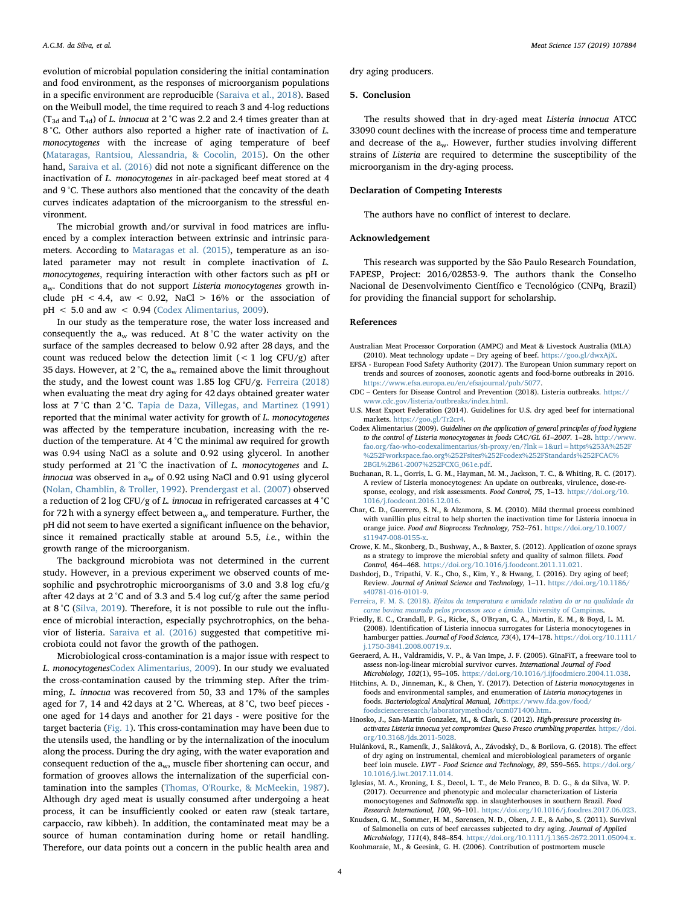evolution of microbial population considering the initial contamination and food environment, as the responses of microorganism populations in a specific environment are reproducible [\(Saraiva et al., 2018\)](#page-4-20). Based on the Weibull model, the time required to reach 3 and 4-log reductions (T<sub>3d</sub> and T<sub>4d</sub>) of *L*. innocua at 2 °C was 2.2 and 2.4 times greater than at 8 °C. Other authors also reported a higher rate of inactivation of L. monocytogenes with the increase of aging temperature of beef ([Mataragas, Rantsiou, Alessandria, & Cocolin, 2015\)](#page-4-21). On the other hand, [Saraiva et al. \(2016\)](#page-4-19) did not note a significant difference on the inactivation of L. monocytogenes in air-packaged beef meat stored at 4 and 9 °C. These authors also mentioned that the concavity of the death curves indicates adaptation of the microorganism to the stressful environment.

The microbial growth and/or survival in food matrices are influenced by a complex interaction between extrinsic and intrinsic parameters. According to [Mataragas et al. \(2015\),](#page-4-21) temperature as an isolated parameter may not result in complete inactivation of L. monocytogenes, requiring interaction with other factors such as pH or aw. Conditions that do not support Listeria monocytogenes growth include pH < 4.4, aw < 0.92, NaCl > 16% or the association of  $pH < 5.0$  and aw  $< 0.94$  ([Codex Alimentarius, 2009](#page-3-16)).

In our study as the temperature rose, the water loss increased and consequently the  $a_w$  was reduced. At 8°C the water activity on the surface of the samples decreased to below 0.92 after 28 days, and the count was reduced below the detection limit  $(< 1 \log CFU/g)$  after 35 days. However, at 2  $^{\circ}\textrm{C},$  the  $\mathrm{a}_{\textrm{w}}$  remained above the limit throughout the study, and the lowest count was 1.85 log CFU/g. [Ferreira \(2018\)](#page-3-17) when evaluating the meat dry aging for 42 days obtained greater water loss at 7 °C than 2 °C. [Tapia de Daza, Villegas, and Martinez \(1991\)](#page-4-22) reported that the minimal water activity for growth of L. monocytogenes was affected by the temperature incubation, increasing with the reduction of the temperature. At 4 °C the minimal aw required for growth was 0.94 using NaCl as a solute and 0.92 using glycerol. In another study performed at 21 °C the inactivation of *L. monocytogenes* and *L.* innocua was observed in  $a_w$  of 0.92 using NaCl and 0.91 using glycerol ([Nolan, Chamblin, & Troller, 1992](#page-4-23)). [Prendergast et al. \(2007\)](#page-4-18) observed a reduction of 2 log CFU/g of L. innocua in refrigerated carcasses at 4 °C for 72 h with a synergy effect between  $a_w$  and temperature. Further, the pH did not seem to have exerted a significant influence on the behavior, since it remained practically stable at around 5.5, *i.e.*, within the growth range of the microorganism.

The background microbiota was not determined in the current study. However, in a previous experiment we observed counts of mesophilic and psychrotrophic microorganisms of 3.0 and 3.8 log cfu/g after 42 days at 2 °C and of 3.3 and 5.4 log cuf/g after the same period at 8 °C [\(Silva, 2019\)](#page-4-24). Therefore, it is not possible to rule out the influence of microbial interaction, especially psychrotrophics, on the behavior of listeria. [Saraiva et al. \(2016\)](#page-4-19) suggested that competitive microbiota could not favor the growth of the pathogen.

Microbiological cross-contamination is a major issue with respect to L. monocytogenes[Codex Alimentarius, 2009\)](#page-3-16). In our study we evaluated the cross-contamination caused by the trimming step. After the trimming, L. innocua was recovered from 50, 33 and 17% of the samples aged for 7, 14 and 42 days at 2 °C. Whereas, at 8 °C, two beef pieces one aged for 14 days and another for 21 days - were positive for the target bacteria ([Fig. 1\)](#page-1-0). This cross-contamination may have been due to the utensils used, the handling or by the internalization of the inoculum along the process. During the dry aging, with the water evaporation and consequent reduction of the  $a_w$ , muscle fiber shortening can occur, and formation of grooves allows the internalization of the superficial contamination into the samples [\(Thomas, O'Rourke, & McMeekin, 1987](#page-4-25)). Although dry aged meat is usually consumed after undergoing a heat process, it can be insufficiently cooked or eaten raw (steak tartare, carpaccio, raw kibbeh). In addition, the contaminated meat may be a source of human contamination during home or retail handling. Therefore, our data points out a concern in the public health area and dry aging producers.

#### 5. Conclusion

The results showed that in dry-aged meat Listeria innocua ATCC 33090 count declines with the increase of process time and temperature and decrease of the  $a_w$ . However, further studies involving different strains of Listeria are required to determine the susceptibility of the microorganism in the dry-aging process.

# Declaration of Competing Interests

The authors have no conflict of interest to declare.

## Acknowledgement

This research was supported by the São Paulo Research Foundation, FAPESP, Project: 2016/02853-9. The authors thank the Conselho Nacional de Desenvolvimento Científico e Tecnológico (CNPq, Brazil) for providing the financial support for scholarship.

#### References

- <span id="page-3-15"></span>Australian Meat Processor Corporation (AMPC) and Meat & Livestock Australia (MLA) (2010). Meat technology update – Dry ageing of beef. <https://goo.gl/dwxAjX>.
- <span id="page-3-5"></span>EFSA - European Food Safety Authority (2017). The European Union summary report on trends and sources of zoonoses, zoonotic agents and food-borne outbreaks in 2016. [https://www.efsa.europa.eu/en/efsajournal/pub/5077.](https://www.efsa.europa.eu/en/efsajournal/pub/5077)
- <span id="page-3-6"></span>CDC – Centers for Disease Control and Prevention (2018). Listeria outbreaks. [https://](https://www.cdc.gov/listeria/outbreaks/index.html) [www.cdc.gov/listeria/outbreaks/index.html.](https://www.cdc.gov/listeria/outbreaks/index.html)
- <span id="page-3-8"></span>U.S. Meat Export Federation (2014). Guidelines for U.S. dry aged beef for international markets. <https://goo.gl/Tr2cr4>.
- <span id="page-3-16"></span>Codex Alimentarius (2009). Guidelines on the application of general principles of food hygiene to the control of Listeria monocytogenes in foods CAC/GL 61–2007. 1–28. [http://www.](http://www.fao.org/fao-who-codexalimentarius/sh-proxy/en/?lnk=1&url=https%253A%252F%252Fworkspace.fao.org%252Fsites%252Fcodex%252FStandards%252FCAC%2BGL%2B61-2007%252FCXG_061e.pdf) [fao.org/fao-who-codexalimentarius/sh-proxy/en/?lnk=1&url=https%253A%252F](http://www.fao.org/fao-who-codexalimentarius/sh-proxy/en/?lnk=1&url=https%253A%252F%252Fworkspace.fao.org%252Fsites%252Fcodex%252FStandards%252FCAC%2BGL%2B61-2007%252FCXG_061e.pdf) [%252Fworkspace.fao.org%252Fsites%252Fcodex%252FStandards%252FCAC%](http://www.fao.org/fao-who-codexalimentarius/sh-proxy/en/?lnk=1&url=https%253A%252F%252Fworkspace.fao.org%252Fsites%252Fcodex%252FStandards%252FCAC%2BGL%2B61-2007%252FCXG_061e.pdf) [2BGL%2B61-2007%252FCXG\\_061e.pdf.](http://www.fao.org/fao-who-codexalimentarius/sh-proxy/en/?lnk=1&url=https%253A%252F%252Fworkspace.fao.org%252Fsites%252Fcodex%252FStandards%252FCAC%2BGL%2B61-2007%252FCXG_061e.pdf)
- <span id="page-3-4"></span>Buchanan, R. L., Gorris, L. G. M., Hayman, M. M., Jackson, T. C., & Whiting, R. C. (2017). A review of Listeria monocytogenes: An update on outbreaks, virulence, dose-response, ecology, and risk assessments. Food Control, 75, 1–13. [https://doi.org/10.](https://doi.org/10.1016/j.foodcont.2016.12.016) [1016/j.foodcont.2016.12.016](https://doi.org/10.1016/j.foodcont.2016.12.016).
- <span id="page-3-11"></span>Char, C. D., Guerrero, S. N., & Alzamora, S. M. (2010). Mild thermal process combined with vanillin plus citral to help shorten the inactivation time for Listeria innocua in orange juice. Food and Bioprocess Technology, 752–761. [https://doi.org/10.1007/](https://doi.org/10.1007/s11947-008-0155-x) [s11947-008-0155-x.](https://doi.org/10.1007/s11947-008-0155-x)
- <span id="page-3-12"></span>Crowe, K. M., Skonberg, D., Bushway, A., & Baxter, S. (2012). Application of ozone sprays as a strategy to improve the microbial safety and quality of salmon fillets. Food Control, 464–468. [https://doi.org/10.1016/j.foodcont.2011.11.021.](https://doi.org/10.1016/j.foodcont.2011.11.021)
- <span id="page-3-1"></span>Dashdorj, D., Tripathi, V. K., Cho, S., Kim, Y., & Hwang, I. (2016). Dry aging of beef; Review. Journal of Animal Science and Technology, 1-11. [https://doi.org/10.1186/](https://doi.org/10.1186/s40781-016-0101-9) [s40781-016-0101-9.](https://doi.org/10.1186/s40781-016-0101-9)
- <span id="page-3-17"></span>Ferreira, F. M. S. (2018). [Efeitos da temperatura e umidade relativa do ar na qualidade da](http://refhub.elsevier.com/S0309-1740(19)30030-0/rf0050) [carne bovina maurada pelos processos seco e úmido.](http://refhub.elsevier.com/S0309-1740(19)30030-0/rf0050) University of Campinas.
- <span id="page-3-13"></span>Friedly, E. C., Crandall, P. G., Ricke, S., O'Bryan, C. A., Martin, E. M., & Boyd, L. M. (2008). Identification of Listeria innocua surrogates for Listeria monocytogenes in hamburger patties. Journal of Food Science, 73(4), 174–178. [https://doi.org/10.1111/](https://doi.org/10.1111/j.1750-3841.2008.00719.x) [j.1750-3841.2008.00719.x.](https://doi.org/10.1111/j.1750-3841.2008.00719.x)
- <span id="page-3-10"></span>Geeraerd, A. H., Valdramidis, V. P., & Van Impe, J. F. (2005). GInaFiT, a freeware tool to assess non-log-linear microbial survivor curves. International Journal of Food Microbiology, 102(1), 95–105. [https://doi.org/10.1016/j.ijfoodmicro.2004.11.038.](https://doi.org/10.1016/j.ijfoodmicro.2004.11.038)
- <span id="page-3-9"></span>Hitchins, A. D., Jinneman, K., & Chen, Y. (2017). Detection of Listeria monocytogenes in foods and environmental samples, and enumeration of Listeria monocytogenes in foods. Bacteriological Analytical Manual, 10[https://www.fda.gov/food/](https://www.fda.gov/food/foodscienceresearch/laboratorymethods/ucm071400.htm) [foodscienceresearch/laboratorymethods/ucm071400.htm](https://www.fda.gov/food/foodscienceresearch/laboratorymethods/ucm071400.htm).
- <span id="page-3-14"></span>Hnosko, J., San-Martin Gonzalez, M., & Clark, S. (2012). High-pressure processing inactivates Listeria innocua yet compromises Queso Fresco crumbling properties. [https://doi.](https://doi.org/10.3168/jds.2011-5028) [org/10.3168/jds.2011-5028.](https://doi.org/10.3168/jds.2011-5028)
- <span id="page-3-2"></span>Hulánková, R., Kameník, J., Saláková, A., Závodský, D., & Borilova, G. (2018). The effect of dry aging on instrumental, chemical and microbiological parameters of organic beef loin muscle. LWT - Food Science and Technology, 89, 559–565. [https://doi.org/](https://doi.org/10.1016/j.lwt.2017.11.014) [10.1016/j.lwt.2017.11.014](https://doi.org/10.1016/j.lwt.2017.11.014).
- <span id="page-3-7"></span>Iglesias, M. A., Kroning, I. S., Decol, L. T., de Melo Franco, B. D. G., & da Silva, W. P. (2017). Occurrence and phenotypic and molecular characterization of Listeria monocytogenes and Salmonella spp. in slaughterhouses in southern Brazil. Food Research International, 100, 96–101. [https://doi.org/10.1016/j.foodres.2017.06.023.](https://doi.org/10.1016/j.foodres.2017.06.023)
- <span id="page-3-3"></span>Knudsen, G. M., Sommer, H. M., Sørensen, N. D., Olsen, J. E., & Aabo, S. (2011). Survival of Salmonella on cuts of beef carcasses subjected to dry aging. Journal of Applied Microbiology, 111(4), 848–854. [https://doi.org/10.1111/j.1365-2672.2011.05094.x.](https://doi.org/10.1111/j.1365-2672.2011.05094.x)
- <span id="page-3-0"></span>Koohmaraie, M., & Geesink, G. H. (2006). Contribution of postmortem muscle